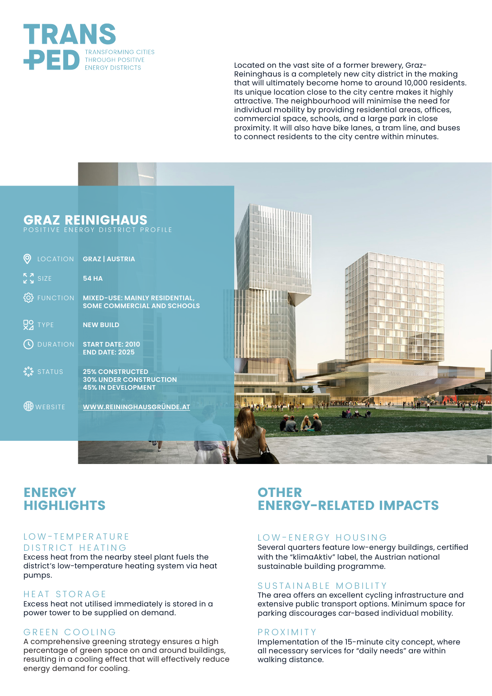

Located on the vast site of a former brewery, Graz-Reininghaus is a completely new city district in the making that will ultimately become home to around 10,000 residents. Its unique location close to the city centre makes it highly attractive. The neighbourhood will minimise the need for individual mobility by providing residential areas, offices, commercial space, schools, and a large park in close proximity. It will also have bike lanes, a tram line, and buses to connect residents to the city centre within minutes.



# **ENERGY HIGHLIGHTS**

### LOW-TEMPERATURE DISTRICT HEATING

Excess heat from the nearby steel plant fuels the district's low-temperature heating system via heat pumps.

### HEAT STORAGE

Excess heat not utilised immediately is stored in a power tower to be supplied on demand.

### GREEN COOLING

A comprehensive greening strategy ensures a high percentage of green space on and around buildings, resulting in a cooling effect that will effectively reduce energy demand for cooling.

# **OTHER ENERGY-RELATED IMPACTS**

### LOW-ENERGY HOUSING

Several quarters feature low-energy buildings, certified with the "klimaAktiv" label, the Austrian national sustainable building programme.

### SUSTAINABLE MOBILITY

The area offers an excellent cycling infrastructure and extensive public transport options. Minimum space for parking discourages car-based individual mobility.

### PROXIMITY

Implementation of the 15-minute city concept, where all necessary services for "daily needs" are within walking distance.